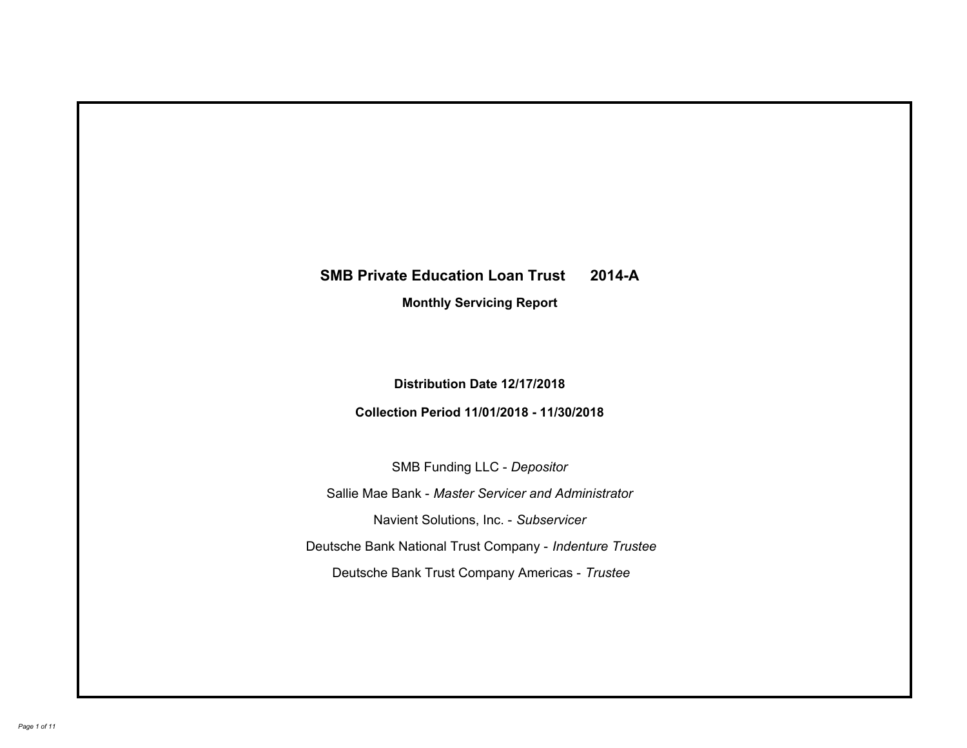# **SMB Private Education Loan Trust 2014-A Monthly Servicing Report**

# **Distribution Date 12/17/2018**

# **Collection Period 11/01/2018 - 11/30/2018**

SMB Funding LLC - *Depositor*

Sallie Mae Bank - *Master Servicer and Administrator*

Navient Solutions, Inc. - *Subservicer*

Deutsche Bank National Trust Company - *Indenture Trustee*

Deutsche Bank Trust Company Americas - *Trustee*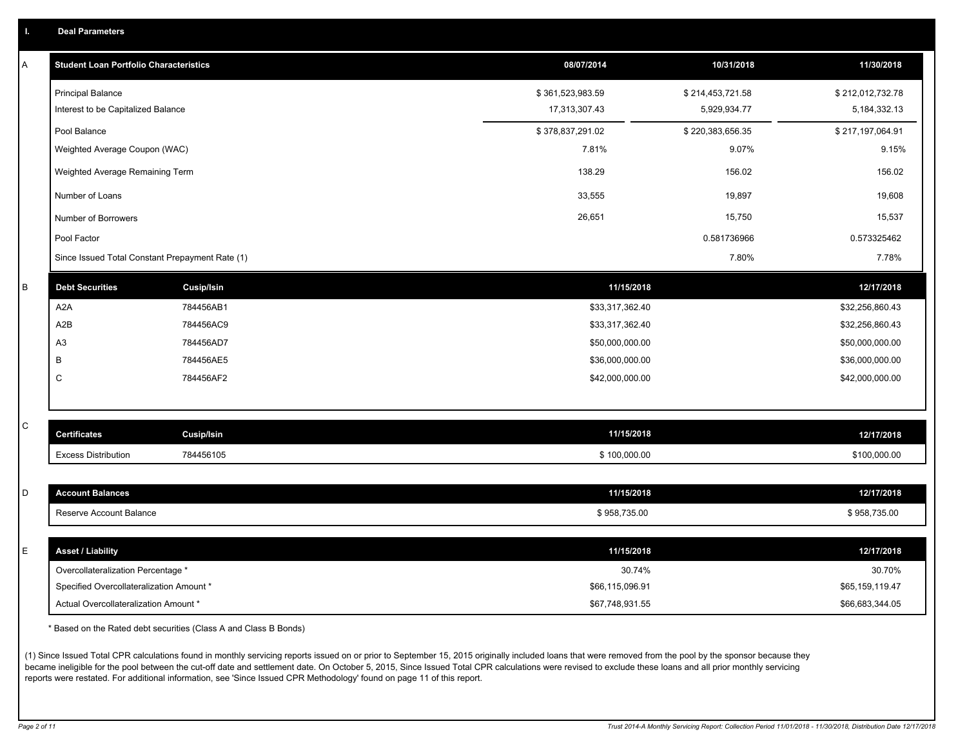|  |  |  | <b>Deal Parameters</b> |  |
|--|--|--|------------------------|--|
|--|--|--|------------------------|--|

| А | <b>Student Loan Portfolio Characteristics</b>   |                   | 08/07/2014       | 10/31/2018       | 11/30/2018       |
|---|-------------------------------------------------|-------------------|------------------|------------------|------------------|
|   | <b>Principal Balance</b>                        |                   | \$361,523,983.59 | \$214,453,721.58 | \$212,012,732.78 |
|   | Interest to be Capitalized Balance              |                   | 17,313,307.43    | 5,929,934.77     | 5, 184, 332. 13  |
|   | Pool Balance                                    |                   | \$378,837,291.02 | \$220,383,656.35 | \$217,197,064.91 |
|   | Weighted Average Coupon (WAC)                   |                   | 7.81%            | 9.07%            | 9.15%            |
|   | Weighted Average Remaining Term                 |                   | 138.29           | 156.02           | 156.02           |
|   | Number of Loans                                 |                   | 33,555           | 19,897           | 19,608           |
|   | Number of Borrowers                             |                   | 26,651           | 15,750           | 15,537           |
|   | Pool Factor                                     |                   |                  | 0.581736966      | 0.573325462      |
|   | Since Issued Total Constant Prepayment Rate (1) |                   |                  | 7.80%            | 7.78%            |
| B | <b>Debt Securities</b>                          | <b>Cusip/Isin</b> | 11/15/2018       |                  | 12/17/2018       |
|   | A2A                                             | 784456AB1         | \$33,317,362.40  |                  | \$32,256,860.43  |
|   | A2B                                             | 784456AC9         | \$33,317,362.40  |                  | \$32,256,860.43  |
|   | A <sub>3</sub>                                  | 784456AD7         | \$50,000,000.00  |                  | \$50,000,000.00  |
|   | В                                               | 784456AE5         | \$36,000,000.00  |                  | \$36,000,000.00  |
|   | C                                               | 784456AF2         | \$42,000,000.00  |                  | \$42,000,000.00  |
|   |                                                 |                   |                  |                  |                  |
| С | <b>Certificates</b>                             | <b>Cusip/Isin</b> | 11/15/2018       |                  | 12/17/2018       |
|   | <b>Excess Distribution</b>                      | 784456105         | \$100,000.00     |                  | \$100,000.00     |
|   |                                                 |                   |                  |                  |                  |
| D | <b>Account Balances</b>                         |                   | 11/15/2018       |                  | 12/17/2018       |
|   | Reserve Account Balance                         |                   | \$958,735.00     |                  | \$958,735.00     |
|   |                                                 |                   |                  |                  |                  |
| E | <b>Asset / Liability</b>                        |                   | 11/15/2018       |                  | 12/17/2018       |
|   | Overcollateralization Percentage *              |                   | 30.74%           |                  | 30.70%           |
|   | Specified Overcollateralization Amount *        |                   | \$66,115,096.91  |                  | \$65,159,119.47  |
|   | Actual Overcollateralization Amount *           |                   | \$67.748.931.55  |                  | \$66.683.344.05  |

\* Based on the Rated debt securities (Class A and Class B Bonds)

(1) Since Issued Total CPR calculations found in monthly servicing reports issued on or prior to September 15, 2015 originally included loans that were removed from the pool by the sponsor because they became ineligible for the pool between the cut-off date and settlement date. On October 5, 2015, Since Issued Total CPR calculations were revised to exclude these loans and all prior monthly servicing reports were restated. For additional information, see 'Since Issued CPR Methodology' found on page 11 of this report.

*Page 2 of 11 Trust 2014-A Monthly Servicing Report: Collection Period 11/01/2018 - 11/30/2018, Distribution Date 12/17/2018*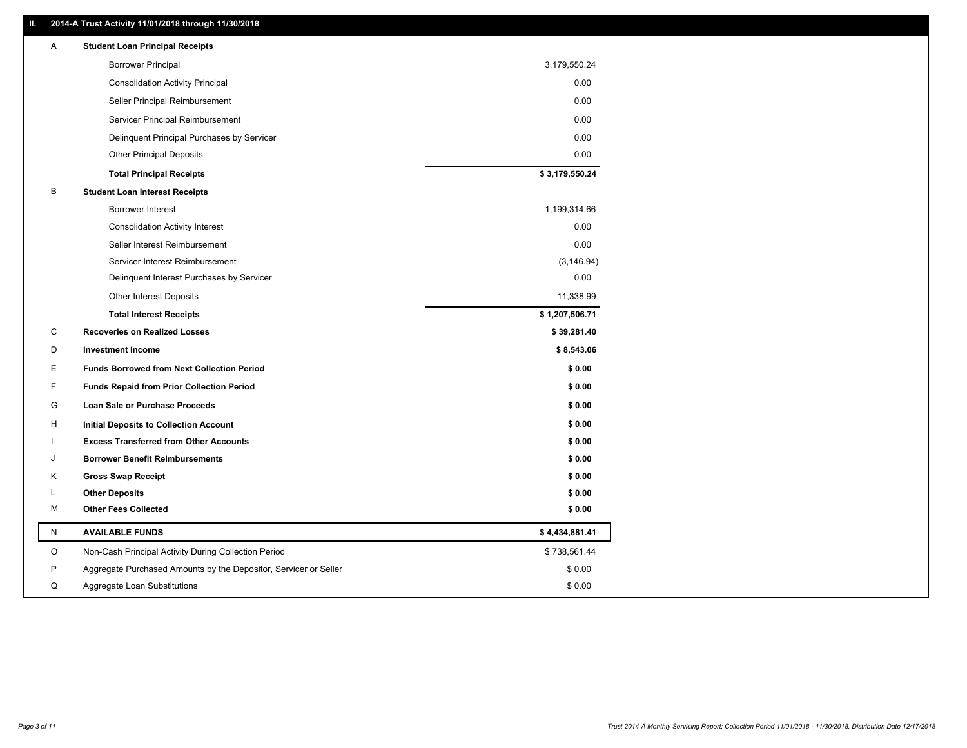### **II. 2014-A Trust Activity 11/01/2018 through 11/30/2018**

| Α       | <b>Student Loan Principal Receipts</b>                           |                |
|---------|------------------------------------------------------------------|----------------|
|         | <b>Borrower Principal</b>                                        | 3,179,550.24   |
|         | <b>Consolidation Activity Principal</b>                          | 0.00           |
|         | Seller Principal Reimbursement                                   | 0.00           |
|         | Servicer Principal Reimbursement                                 | 0.00           |
|         | Delinquent Principal Purchases by Servicer                       | 0.00           |
|         | <b>Other Principal Deposits</b>                                  | 0.00           |
|         | <b>Total Principal Receipts</b>                                  | \$3,179,550.24 |
| B       | <b>Student Loan Interest Receipts</b>                            |                |
|         | <b>Borrower Interest</b>                                         | 1,199,314.66   |
|         | <b>Consolidation Activity Interest</b>                           | 0.00           |
|         | Seller Interest Reimbursement                                    | 0.00           |
|         | Servicer Interest Reimbursement                                  | (3, 146.94)    |
|         | Delinquent Interest Purchases by Servicer                        | 0.00           |
|         | <b>Other Interest Deposits</b>                                   | 11,338.99      |
|         | <b>Total Interest Receipts</b>                                   | \$1,207,506.71 |
| C       | <b>Recoveries on Realized Losses</b>                             | \$39,281.40    |
| D       | <b>Investment Income</b>                                         | \$8,543.06     |
| Е       | <b>Funds Borrowed from Next Collection Period</b>                | \$0.00         |
| F       | <b>Funds Repaid from Prior Collection Period</b>                 | \$0.00         |
| G       | Loan Sale or Purchase Proceeds                                   | \$0.00         |
| н       | Initial Deposits to Collection Account                           | \$0.00         |
|         | <b>Excess Transferred from Other Accounts</b>                    | \$0.00         |
| ۱.      | <b>Borrower Benefit Reimbursements</b>                           | \$0.00         |
| K       | <b>Gross Swap Receipt</b>                                        | \$0.00         |
| L       | <b>Other Deposits</b>                                            | \$0.00         |
| м       | <b>Other Fees Collected</b>                                      | \$0.00         |
| N       | <b>AVAILABLE FUNDS</b>                                           | \$4,434,881.41 |
| $\circ$ | Non-Cash Principal Activity During Collection Period             | \$738,561.44   |
| P       | Aggregate Purchased Amounts by the Depositor, Servicer or Seller | \$0.00         |
| Q       | Aggregate Loan Substitutions                                     | \$0.00         |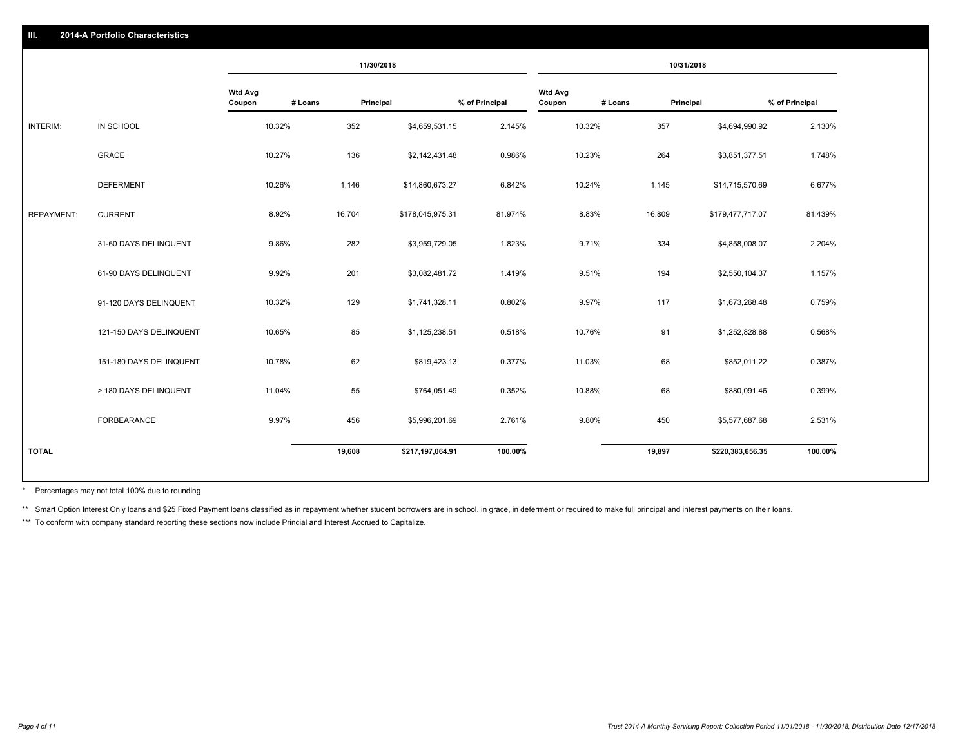### **III. 2014-A Portfolio Characteristics**

|                   |                         |                                     | 11/30/2018 |                  |                |                          |         | 10/31/2018 |                  |                |
|-------------------|-------------------------|-------------------------------------|------------|------------------|----------------|--------------------------|---------|------------|------------------|----------------|
|                   |                         | <b>Wtd Avg</b><br># Loans<br>Coupon | Principal  |                  | % of Principal | <b>Wtd Avg</b><br>Coupon | # Loans | Principal  |                  | % of Principal |
| INTERIM:          | IN SCHOOL               | 10.32%                              | 352        | \$4,659,531.15   | 2.145%         | 10.32%                   |         | 357        | \$4,694,990.92   | 2.130%         |
|                   | <b>GRACE</b>            | 10.27%                              | 136        | \$2,142,431.48   | 0.986%         | 10.23%                   |         | 264        | \$3,851,377.51   | 1.748%         |
|                   | <b>DEFERMENT</b>        | 10.26%                              | 1,146      | \$14,860,673.27  | 6.842%         | 10.24%                   |         | 1,145      | \$14,715,570.69  | 6.677%         |
| <b>REPAYMENT:</b> | <b>CURRENT</b>          | 8.92%                               | 16,704     | \$178,045,975.31 | 81.974%        | 8.83%                    |         | 16,809     | \$179,477,717.07 | 81.439%        |
|                   | 31-60 DAYS DELINQUENT   | 9.86%                               | 282        | \$3,959,729.05   | 1.823%         | 9.71%                    |         | 334        | \$4,858,008.07   | 2.204%         |
|                   | 61-90 DAYS DELINQUENT   | 9.92%                               | 201        | \$3,082,481.72   | 1.419%         | 9.51%                    |         | 194        | \$2,550,104.37   | 1.157%         |
|                   | 91-120 DAYS DELINQUENT  | 10.32%                              | 129        | \$1,741,328.11   | 0.802%         | 9.97%                    |         | 117        | \$1,673,268.48   | 0.759%         |
|                   | 121-150 DAYS DELINQUENT | 10.65%                              | 85         | \$1,125,238.51   | 0.518%         | 10.76%                   |         | 91         | \$1,252,828.88   | 0.568%         |
|                   | 151-180 DAYS DELINQUENT | 10.78%                              | 62         | \$819,423.13     | 0.377%         | 11.03%                   |         | 68         | \$852,011.22     | 0.387%         |
|                   | > 180 DAYS DELINQUENT   | 11.04%                              | 55         | \$764,051.49     | 0.352%         | 10.88%                   |         | 68         | \$880,091.46     | 0.399%         |
|                   | FORBEARANCE             | 9.97%                               | 456        | \$5,996,201.69   | 2.761%         | 9.80%                    |         | 450        | \$5,577,687.68   | 2.531%         |
| <b>TOTAL</b>      |                         |                                     | 19,608     | \$217,197,064.91 | 100.00%        |                          |         | 19,897     | \$220,383,656.35 | 100.00%        |
|                   |                         |                                     |            |                  |                |                          |         |            |                  |                |

Percentages may not total 100% due to rounding \*

\*\* Smart Option Interest Only loans and \$25 Fixed Payment loans classified as in repayment whether student borrowers are in school, in grace, in deferment or required to make full principal and interest payments on their l

\*\*\* To conform with company standard reporting these sections now include Princial and Interest Accrued to Capitalize.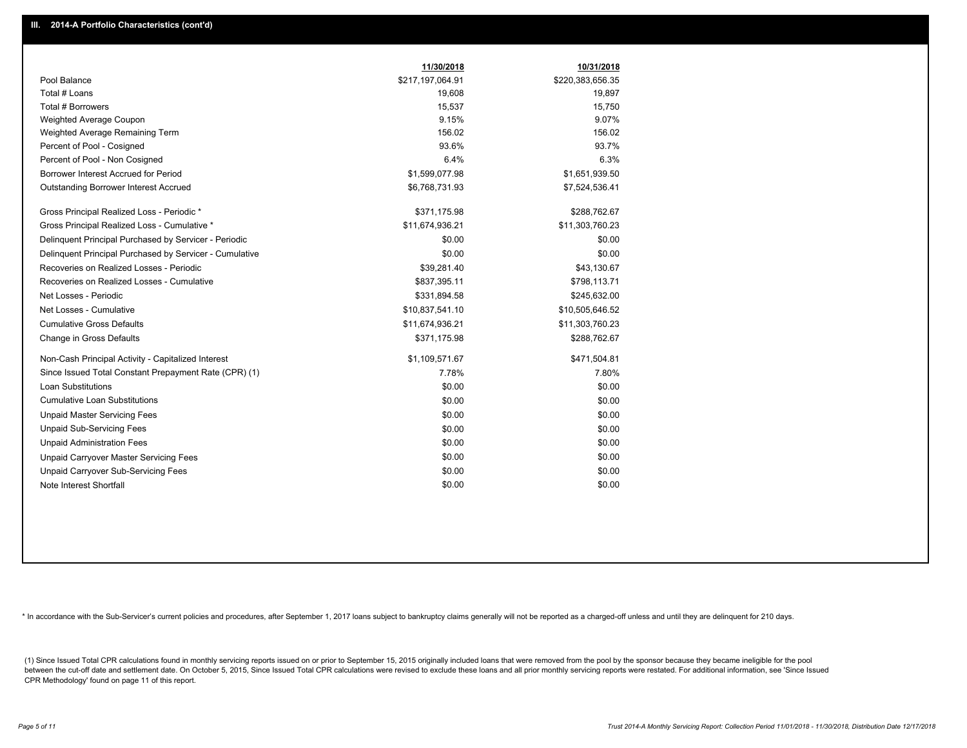|                                                         | 11/30/2018       | 10/31/2018       |
|---------------------------------------------------------|------------------|------------------|
| Pool Balance                                            | \$217,197,064.91 | \$220,383,656.35 |
| Total # Loans                                           | 19,608           | 19,897           |
| Total # Borrowers                                       | 15,537           | 15,750           |
| Weighted Average Coupon                                 | 9.15%            | 9.07%            |
| Weighted Average Remaining Term                         | 156.02           | 156.02           |
| Percent of Pool - Cosigned                              | 93.6%            | 93.7%            |
| Percent of Pool - Non Cosigned                          | 6.4%             | 6.3%             |
| Borrower Interest Accrued for Period                    | \$1,599,077.98   | \$1,651,939.50   |
| <b>Outstanding Borrower Interest Accrued</b>            | \$6,768,731.93   | \$7,524,536.41   |
| Gross Principal Realized Loss - Periodic *              | \$371,175.98     | \$288,762.67     |
| Gross Principal Realized Loss - Cumulative *            | \$11,674,936.21  | \$11,303,760.23  |
| Delinquent Principal Purchased by Servicer - Periodic   | \$0.00           | \$0.00           |
| Delinquent Principal Purchased by Servicer - Cumulative | \$0.00           | \$0.00           |
| Recoveries on Realized Losses - Periodic                | \$39,281.40      | \$43,130.67      |
| Recoveries on Realized Losses - Cumulative              | \$837,395.11     | \$798,113.71     |
| Net Losses - Periodic                                   | \$331,894.58     | \$245,632.00     |
| Net Losses - Cumulative                                 | \$10,837,541.10  | \$10,505,646.52  |
| <b>Cumulative Gross Defaults</b>                        | \$11,674,936.21  | \$11,303,760.23  |
| Change in Gross Defaults                                | \$371,175.98     | \$288,762.67     |
| Non-Cash Principal Activity - Capitalized Interest      | \$1,109,571.67   | \$471,504.81     |
| Since Issued Total Constant Prepayment Rate (CPR) (1)   | 7.78%            | 7.80%            |
| <b>Loan Substitutions</b>                               | \$0.00           | \$0.00           |
| <b>Cumulative Loan Substitutions</b>                    | \$0.00           | \$0.00           |
| <b>Unpaid Master Servicing Fees</b>                     | \$0.00           | \$0.00           |
| <b>Unpaid Sub-Servicing Fees</b>                        | \$0.00           | \$0.00           |
| <b>Unpaid Administration Fees</b>                       | \$0.00           | \$0.00           |
| Unpaid Carryover Master Servicing Fees                  | \$0.00           | \$0.00           |
| Unpaid Carryover Sub-Servicing Fees                     | \$0.00           | \$0.00           |
| Note Interest Shortfall                                 | \$0.00           | \$0.00           |

\* In accordance with the Sub-Servicer's current policies and procedures, after September 1, 2017 loans subject to bankruptcy claims generally will not be reported as a charged-off unless and until they are delinquent for 2

(1) Since Issued Total CPR calculations found in monthly servicing reports issued on or prior to September 15, 2015 originally included loans that were removed from the pool by the sponsor because they became ineligible fo between the cut-off date and settlement date. On October 5, 2015, Since Issued Total CPR calculations were revised to exclude these loans and all prior monthly servicing reports were restated. For additional information, s CPR Methodology' found on page 11 of this report.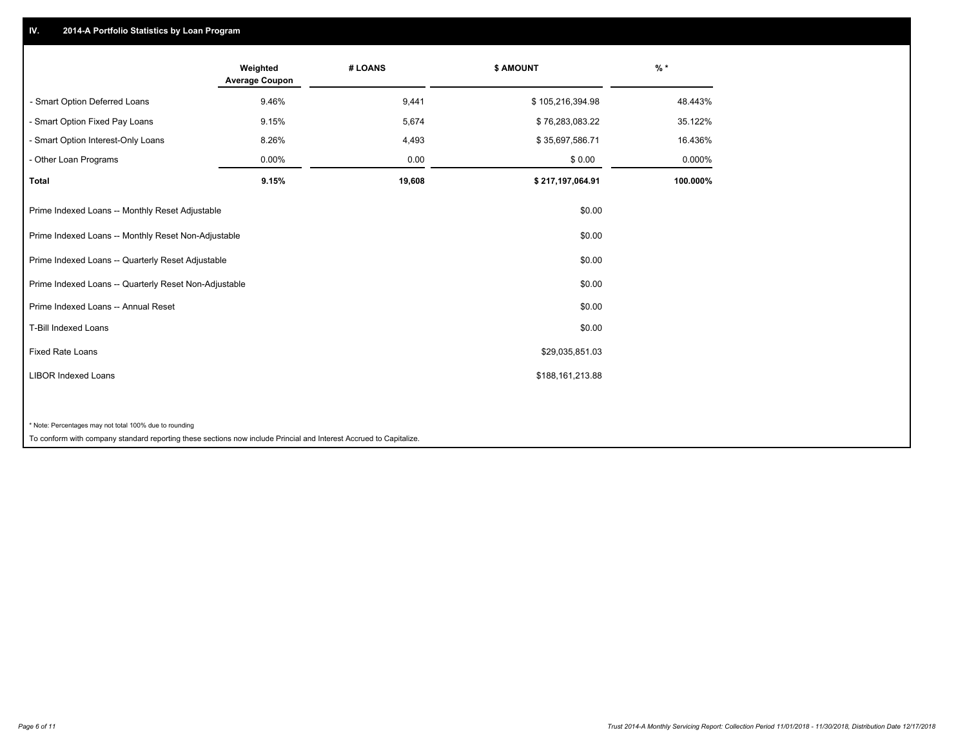## **IV. 2014-A Portfolio Statistics by Loan Program**

|                                                        | Weighted<br><b>Average Coupon</b> | # LOANS | \$ AMOUNT        | $%$ *    |
|--------------------------------------------------------|-----------------------------------|---------|------------------|----------|
| - Smart Option Deferred Loans                          | 9.46%                             | 9,441   | \$105,216,394.98 | 48.443%  |
| - Smart Option Fixed Pay Loans                         | 9.15%                             | 5,674   | \$76,283,083.22  | 35.122%  |
| - Smart Option Interest-Only Loans                     | 8.26%                             | 4,493   | \$35,697,586.71  | 16.436%  |
| - Other Loan Programs                                  | 0.00%                             | 0.00    | \$0.00           | 0.000%   |
| <b>Total</b>                                           | 9.15%                             | 19,608  | \$217,197,064.91 | 100.000% |
| Prime Indexed Loans -- Monthly Reset Adjustable        |                                   |         | \$0.00           |          |
| Prime Indexed Loans -- Monthly Reset Non-Adjustable    |                                   |         | \$0.00           |          |
| Prime Indexed Loans -- Quarterly Reset Adjustable      |                                   |         | \$0.00           |          |
| Prime Indexed Loans -- Quarterly Reset Non-Adjustable  |                                   |         | \$0.00           |          |
| Prime Indexed Loans -- Annual Reset                    |                                   |         | \$0.00           |          |
| T-Bill Indexed Loans                                   |                                   |         | \$0.00           |          |
| <b>Fixed Rate Loans</b>                                |                                   |         | \$29,035,851.03  |          |
| <b>LIBOR Indexed Loans</b>                             |                                   |         | \$188,161,213.88 |          |
|                                                        |                                   |         |                  |          |
| * Note: Percentages may not total 100% due to rounding |                                   |         |                  |          |

To conform with company standard reporting these sections now include Princial and Interest Accrued to Capitalize.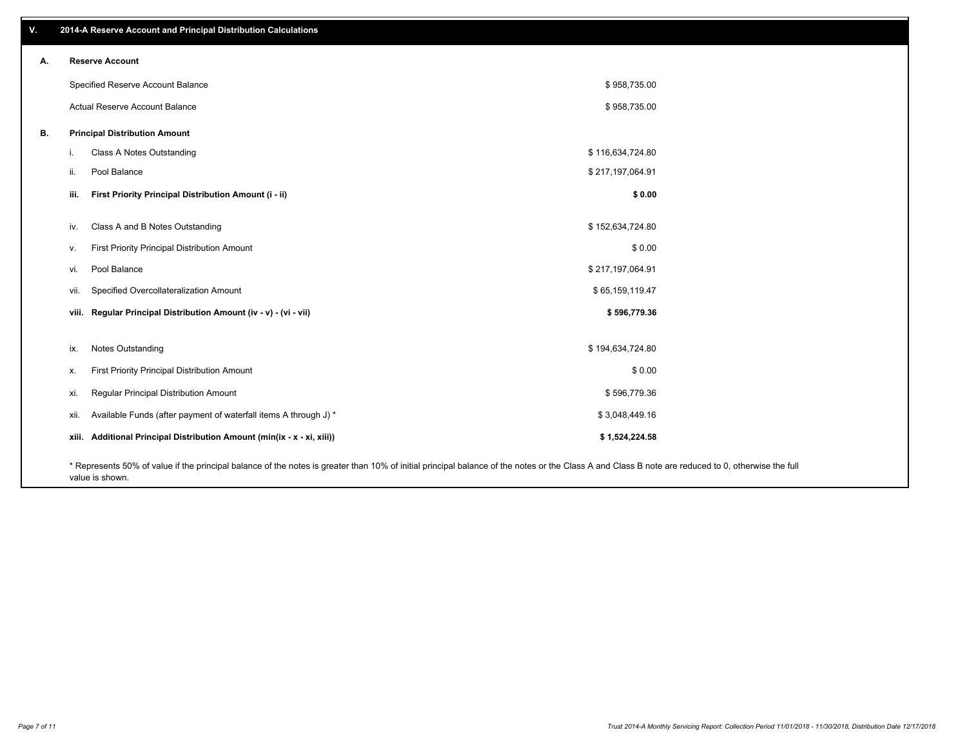| v. | 2014-A Reserve Account and Principal Distribution Calculations                                                                                                                                     |                  |  |
|----|----------------------------------------------------------------------------------------------------------------------------------------------------------------------------------------------------|------------------|--|
| А. | <b>Reserve Account</b>                                                                                                                                                                             |                  |  |
|    | Specified Reserve Account Balance                                                                                                                                                                  | \$958,735.00     |  |
|    | Actual Reserve Account Balance                                                                                                                                                                     | \$958,735.00     |  |
| В. | <b>Principal Distribution Amount</b>                                                                                                                                                               |                  |  |
|    | Class A Notes Outstanding<br>i.                                                                                                                                                                    | \$116,634,724.80 |  |
|    | Pool Balance<br>ii.                                                                                                                                                                                | \$217,197,064.91 |  |
|    | First Priority Principal Distribution Amount (i - ii)<br>iii.                                                                                                                                      | \$0.00           |  |
|    | Class A and B Notes Outstanding<br>iv.                                                                                                                                                             | \$152,634,724.80 |  |
|    | First Priority Principal Distribution Amount<br>v.                                                                                                                                                 | \$0.00           |  |
|    | Pool Balance<br>vi.                                                                                                                                                                                | \$217,197,064.91 |  |
|    | Specified Overcollateralization Amount<br>vii.                                                                                                                                                     | \$65,159,119.47  |  |
|    | viii. Regular Principal Distribution Amount (iv - v) - (vi - vii)                                                                                                                                  | \$596,779.36     |  |
|    |                                                                                                                                                                                                    |                  |  |
|    | Notes Outstanding<br>ix.                                                                                                                                                                           | \$194,634,724.80 |  |
|    | First Priority Principal Distribution Amount<br>х.                                                                                                                                                 | \$0.00           |  |
|    | Regular Principal Distribution Amount<br>xi.                                                                                                                                                       | \$596,779.36     |  |
|    | Available Funds (after payment of waterfall items A through J) *<br>xii.                                                                                                                           | \$3,048,449.16   |  |
|    | xiii. Additional Principal Distribution Amount (min(ix - x - xi, xiii))                                                                                                                            | \$1,524,224.58   |  |
|    | * Represents 50% of value if the principal balance of the notes is greater than 10% of initial principal balance of the notes or the Class A and Class B note are reduced to 0, otherwise the full |                  |  |

value is shown.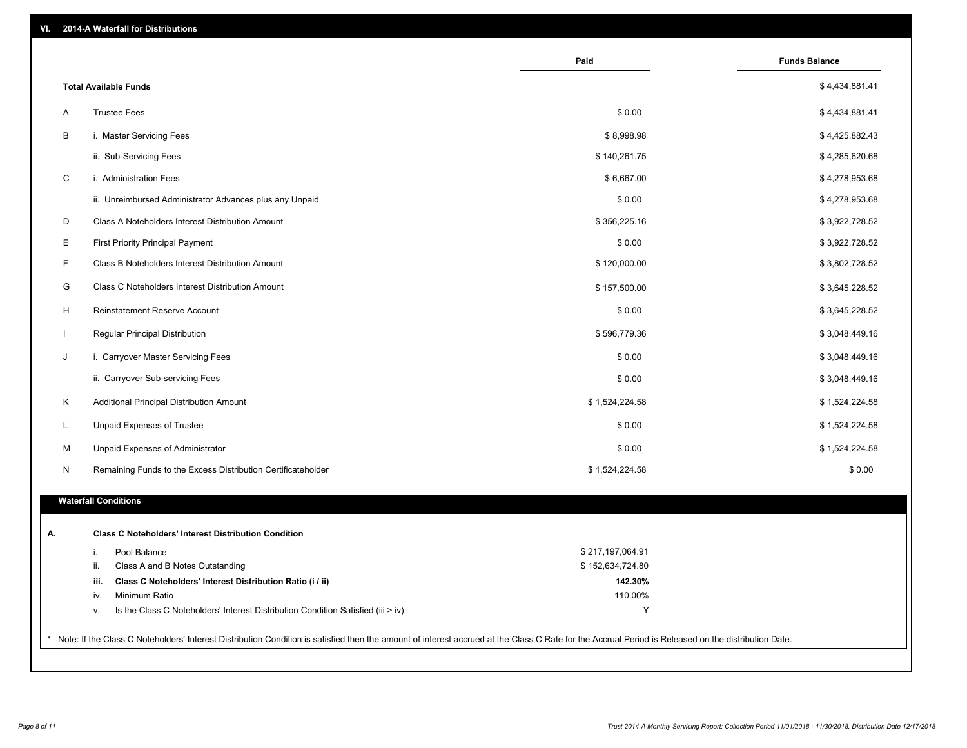| VI. |  | 2014-A Waterfall for Distributions |  |  |  |
|-----|--|------------------------------------|--|--|--|
|-----|--|------------------------------------|--|--|--|

|              |                                                                                        | Paid             | <b>Funds Balance</b> |
|--------------|----------------------------------------------------------------------------------------|------------------|----------------------|
|              | <b>Total Available Funds</b>                                                           |                  | \$4,434,881.41       |
| A            | <b>Trustee Fees</b>                                                                    | \$0.00           | \$4,434,881.41       |
| B            | i. Master Servicing Fees                                                               | \$8,998.98       | \$4,425,882.43       |
|              | ii. Sub-Servicing Fees                                                                 | \$140,261.75     | \$4,285,620.68       |
| $\mathbf C$  | i. Administration Fees                                                                 | \$6,667.00       | \$4,278,953.68       |
|              | ii. Unreimbursed Administrator Advances plus any Unpaid                                | \$0.00           | \$4,278,953.68       |
| D            | Class A Noteholders Interest Distribution Amount                                       | \$356,225.16     | \$3,922,728.52       |
| E            | <b>First Priority Principal Payment</b>                                                | \$0.00           | \$3,922,728.52       |
| F            | Class B Noteholders Interest Distribution Amount                                       | \$120,000.00     | \$3,802,728.52       |
| G            | <b>Class C Noteholders Interest Distribution Amount</b>                                | \$157,500.00     | \$3,645,228.52       |
| H            | Reinstatement Reserve Account                                                          | \$0.00           | \$3,645,228.52       |
| $\mathbf{I}$ | Regular Principal Distribution                                                         | \$596,779.36     | \$3,048,449.16       |
| J            | i. Carryover Master Servicing Fees                                                     | \$0.00           | \$3,048,449.16       |
|              | ii. Carryover Sub-servicing Fees                                                       | \$0.00           | \$3,048,449.16       |
| Κ            | Additional Principal Distribution Amount                                               | \$1,524,224.58   | \$1,524,224.58       |
| L            | Unpaid Expenses of Trustee                                                             | \$0.00           | \$1,524,224.58       |
| м            | Unpaid Expenses of Administrator                                                       | \$0.00           | \$1,524,224.58       |
| N            | Remaining Funds to the Excess Distribution Certificateholder                           | \$1,524,224.58   | \$0.00               |
|              |                                                                                        |                  |                      |
|              | <b>Waterfall Conditions</b>                                                            |                  |                      |
|              | <b>Class C Noteholders' Interest Distribution Condition</b>                            |                  |                      |
|              | Pool Balance<br>i.                                                                     | \$217,197,064.91 |                      |
|              | ii.<br>Class A and B Notes Outstanding                                                 | \$152,634,724.80 |                      |
|              | iii.<br>Class C Noteholders' Interest Distribution Ratio (i / ii)                      | 142.30%          |                      |
|              | Minimum Ratio<br>iv.                                                                   | 110.00%          |                      |
|              | Is the Class C Noteholders' Interest Distribution Condition Satisfied (iii > iv)<br>V. | Y                |                      |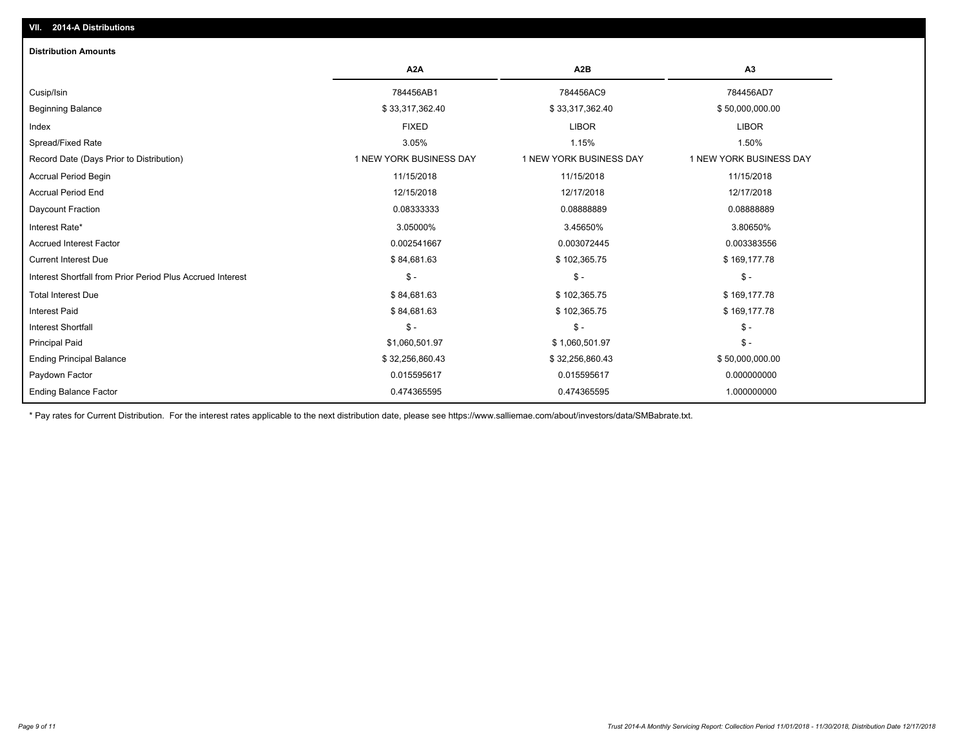| 2014-A Distributions<br>VII.                               |                         |                         |                         |
|------------------------------------------------------------|-------------------------|-------------------------|-------------------------|
| <b>Distribution Amounts</b>                                |                         |                         |                         |
|                                                            | A <sub>2</sub> A        | A <sub>2</sub> B        | A3                      |
| Cusip/Isin                                                 | 784456AB1               | 784456AC9               | 784456AD7               |
| <b>Beginning Balance</b>                                   | \$33,317,362.40         | \$33,317,362.40         | \$50,000,000.00         |
| Index                                                      | <b>FIXED</b>            | <b>LIBOR</b>            | <b>LIBOR</b>            |
| Spread/Fixed Rate                                          | 3.05%                   | 1.15%                   | 1.50%                   |
| Record Date (Days Prior to Distribution)                   | 1 NEW YORK BUSINESS DAY | 1 NEW YORK BUSINESS DAY | 1 NEW YORK BUSINESS DAY |
| <b>Accrual Period Begin</b>                                | 11/15/2018              | 11/15/2018              | 11/15/2018              |
| <b>Accrual Period End</b>                                  | 12/15/2018              | 12/17/2018              | 12/17/2018              |
| Daycount Fraction                                          | 0.08333333              | 0.0888889               | 0.08888889              |
| Interest Rate*                                             | 3.05000%                | 3.45650%                | 3.80650%                |
| <b>Accrued Interest Factor</b>                             | 0.002541667             | 0.003072445             | 0.003383556             |
| <b>Current Interest Due</b>                                | \$84,681.63             | \$102,365.75            | \$169,177.78            |
| Interest Shortfall from Prior Period Plus Accrued Interest | $\mathsf{\$}$ -         | $\mathsf{\$}$ -         | $\mathsf{\$}$ -         |
| <b>Total Interest Due</b>                                  | \$84,681.63             | \$102,365.75            | \$169,177.78            |
| <b>Interest Paid</b>                                       | \$84,681.63             | \$102,365.75            | \$169,177.78            |
| <b>Interest Shortfall</b>                                  | $\mathsf{\$}$ -         | $\mathsf{\$}$ -         | $\mathsf{\$}$ -         |
| <b>Principal Paid</b>                                      | \$1,060,501.97          | \$1,060,501.97          | $\mathsf{\$}$ -         |
| <b>Ending Principal Balance</b>                            | \$32,256,860.43         | \$32,256,860.43         | \$50,000,000.00         |
| Paydown Factor                                             | 0.015595617             | 0.015595617             | 0.000000000             |
| <b>Ending Balance Factor</b>                               | 0.474365595             | 0.474365595             | 1.000000000             |

\* Pay rates for Current Distribution. For the interest rates applicable to the next distribution date, please see https://www.salliemae.com/about/investors/data/SMBabrate.txt.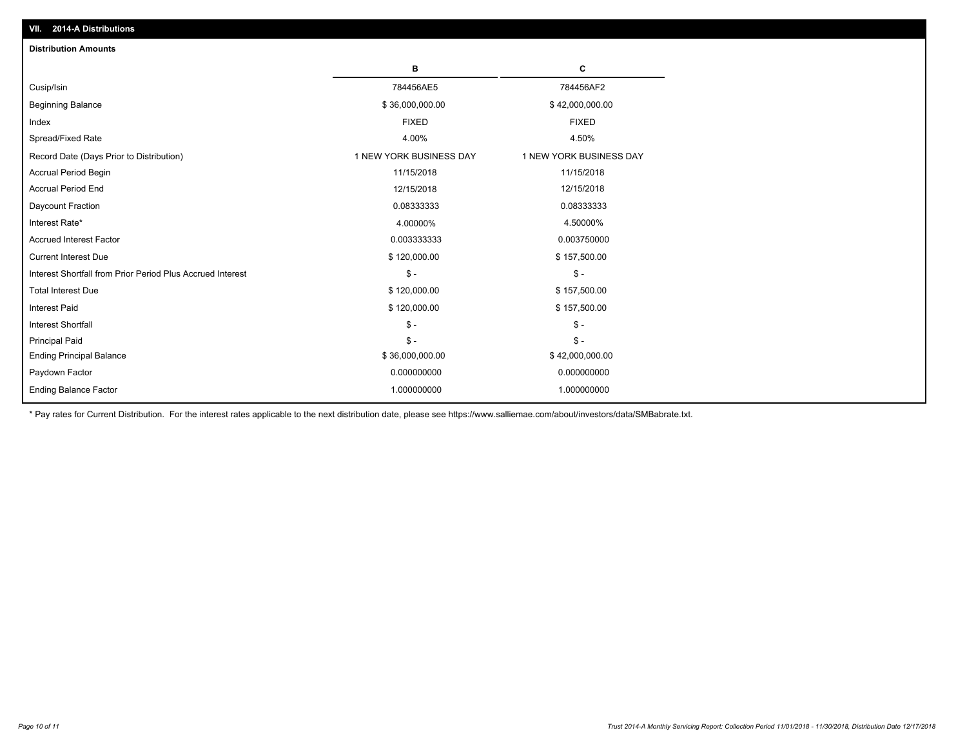| <b>Distribution Amounts</b>                                |                         |                         |
|------------------------------------------------------------|-------------------------|-------------------------|
|                                                            | в                       | C                       |
| Cusip/Isin                                                 | 784456AE5               | 784456AF2               |
| <b>Beginning Balance</b>                                   | \$36,000,000.00         | \$42,000,000.00         |
| Index                                                      | <b>FIXED</b>            | <b>FIXED</b>            |
| Spread/Fixed Rate                                          | 4.00%                   | 4.50%                   |
| Record Date (Days Prior to Distribution)                   | 1 NEW YORK BUSINESS DAY | 1 NEW YORK BUSINESS DAY |
| <b>Accrual Period Begin</b>                                | 11/15/2018              | 11/15/2018              |
| <b>Accrual Period End</b>                                  | 12/15/2018              | 12/15/2018              |
| Daycount Fraction                                          | 0.08333333              | 0.08333333              |
| Interest Rate*                                             | 4.00000%                | 4.50000%                |
| <b>Accrued Interest Factor</b>                             | 0.003333333             | 0.003750000             |
| <b>Current Interest Due</b>                                | \$120,000.00            | \$157,500.00            |
| Interest Shortfall from Prior Period Plus Accrued Interest | $\mathsf{\$}$ -         | $\mathsf{\$}$ -         |
| <b>Total Interest Due</b>                                  | \$120,000.00            | \$157,500.00            |
| <b>Interest Paid</b>                                       | \$120,000.00            | \$157,500.00            |
| <b>Interest Shortfall</b>                                  | $\mathsf{\$}$ -         | $\frac{1}{2}$           |
| <b>Principal Paid</b>                                      | $\mathsf{\$}$ -         | $\mathsf{\$}$ -         |
| <b>Ending Principal Balance</b>                            | \$36,000,000.00         | \$42,000,000.00         |
| Paydown Factor                                             | 0.000000000             | 0.000000000             |
| <b>Ending Balance Factor</b>                               | 1.000000000             | 1.000000000             |

\* Pay rates for Current Distribution. For the interest rates applicable to the next distribution date, please see https://www.salliemae.com/about/investors/data/SMBabrate.txt.

**VII. 2014-A Distributions**